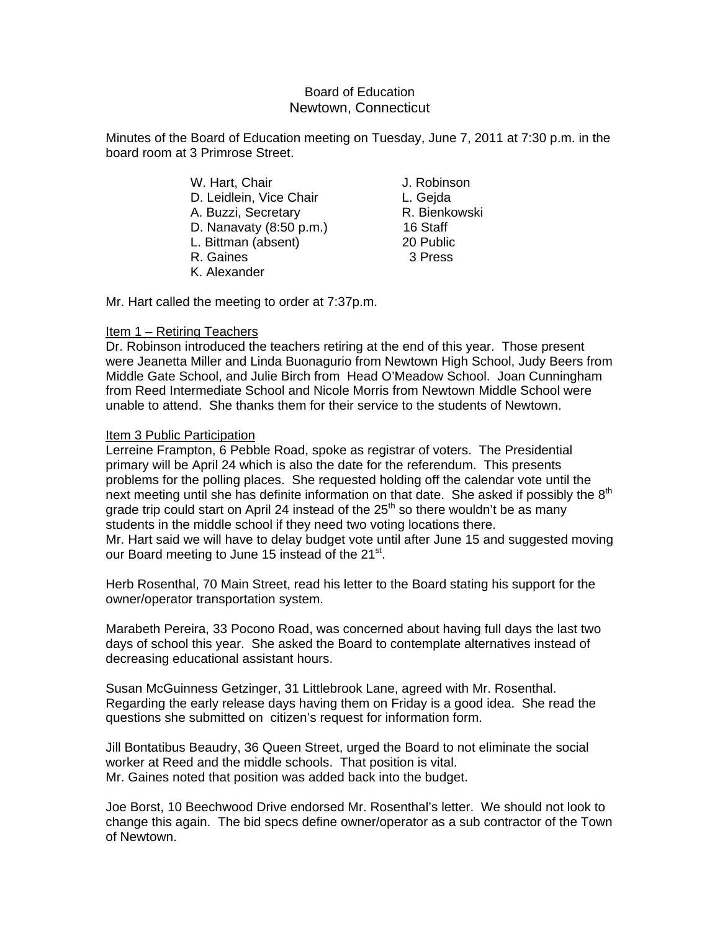# Board of Education Newtown, Connecticut

Minutes of the Board of Education meeting on Tuesday, June 7, 2011 at 7:30 p.m. in the board room at 3 Primrose Street.

- W. Hart, Chair **J. Robinson** D. Leidlein, Vice Chair **L. Gejda** A. Buzzi, Secretary **R. Bienkowski**  D. Nanavaty (8:50 p.m.) 16 Staff L. Bittman (absent) 20 Public R. Gaines 3 Press
- K. Alexander

Mr. Hart called the meeting to order at 7:37p.m.

# Item 1 – Retiring Teachers

Dr. Robinson introduced the teachers retiring at the end of this year. Those present were Jeanetta Miller and Linda Buonagurio from Newtown High School, Judy Beers from Middle Gate School, and Julie Birch from Head O'Meadow School. Joan Cunningham from Reed Intermediate School and Nicole Morris from Newtown Middle School were unable to attend. She thanks them for their service to the students of Newtown.

## Item 3 Public Participation

Lerreine Frampton, 6 Pebble Road, spoke as registrar of voters. The Presidential primary will be April 24 which is also the date for the referendum. This presents problems for the polling places. She requested holding off the calendar vote until the next meeting until she has definite information on that date. She asked if possibly the  $8<sup>th</sup>$ grade trip could start on April 24 instead of the  $25<sup>th</sup>$  so there wouldn't be as many students in the middle school if they need two voting locations there. Mr. Hart said we will have to delay budget vote until after June 15 and suggested moving our Board meeting to June 15 instead of the 21<sup>st</sup>.

Herb Rosenthal, 70 Main Street, read his letter to the Board stating his support for the owner/operator transportation system.

Marabeth Pereira, 33 Pocono Road, was concerned about having full days the last two days of school this year. She asked the Board to contemplate alternatives instead of decreasing educational assistant hours.

Susan McGuinness Getzinger, 31 Littlebrook Lane, agreed with Mr. Rosenthal. Regarding the early release days having them on Friday is a good idea. She read the questions she submitted on citizen's request for information form.

Jill Bontatibus Beaudry, 36 Queen Street, urged the Board to not eliminate the social worker at Reed and the middle schools. That position is vital. Mr. Gaines noted that position was added back into the budget.

Joe Borst, 10 Beechwood Drive endorsed Mr. Rosenthal's letter. We should not look to change this again. The bid specs define owner/operator as a sub contractor of the Town of Newtown.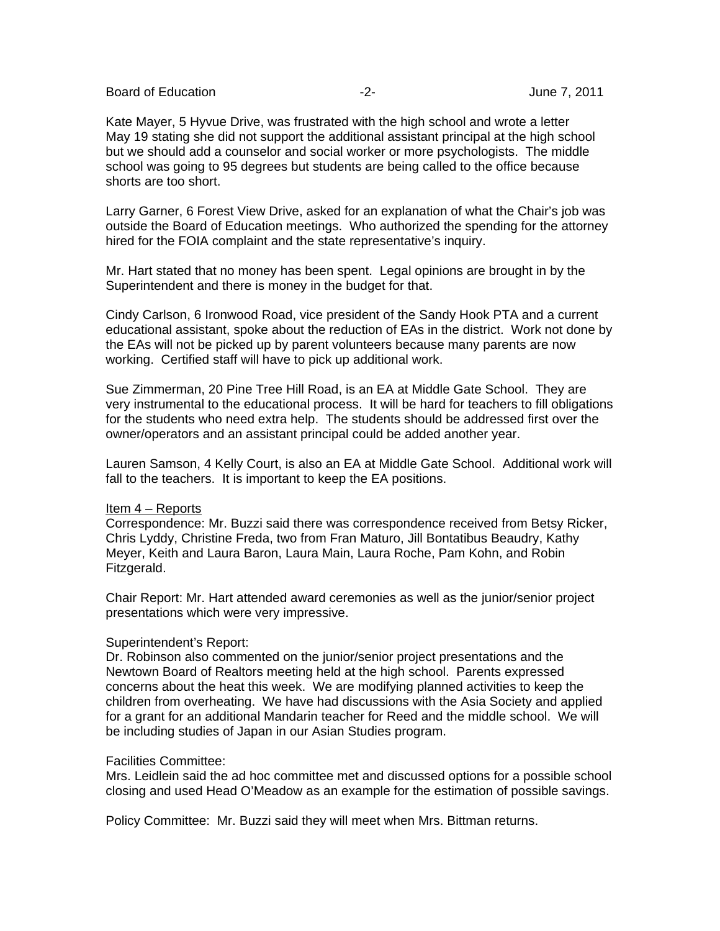Board of Education **-2-** Figure 2. The set of Education of Education 1.2011

Kate Mayer, 5 Hyvue Drive, was frustrated with the high school and wrote a letter May 19 stating she did not support the additional assistant principal at the high school but we should add a counselor and social worker or more psychologists. The middle school was going to 95 degrees but students are being called to the office because shorts are too short.

Larry Garner, 6 Forest View Drive, asked for an explanation of what the Chair's job was outside the Board of Education meetings. Who authorized the spending for the attorney hired for the FOIA complaint and the state representative's inquiry.

Mr. Hart stated that no money has been spent. Legal opinions are brought in by the Superintendent and there is money in the budget for that.

Cindy Carlson, 6 Ironwood Road, vice president of the Sandy Hook PTA and a current educational assistant, spoke about the reduction of EAs in the district. Work not done by the EAs will not be picked up by parent volunteers because many parents are now working. Certified staff will have to pick up additional work.

Sue Zimmerman, 20 Pine Tree Hill Road, is an EA at Middle Gate School. They are very instrumental to the educational process. It will be hard for teachers to fill obligations for the students who need extra help. The students should be addressed first over the owner/operators and an assistant principal could be added another year.

Lauren Samson, 4 Kelly Court, is also an EA at Middle Gate School. Additional work will fall to the teachers. It is important to keep the EA positions.

## Item 4 – Reports

Correspondence: Mr. Buzzi said there was correspondence received from Betsy Ricker, Chris Lyddy, Christine Freda, two from Fran Maturo, Jill Bontatibus Beaudry, Kathy Meyer, Keith and Laura Baron, Laura Main, Laura Roche, Pam Kohn, and Robin Fitzgerald.

Chair Report: Mr. Hart attended award ceremonies as well as the junior/senior project presentations which were very impressive.

#### Superintendent's Report:

Dr. Robinson also commented on the junior/senior project presentations and the Newtown Board of Realtors meeting held at the high school. Parents expressed concerns about the heat this week. We are modifying planned activities to keep the children from overheating. We have had discussions with the Asia Society and applied for a grant for an additional Mandarin teacher for Reed and the middle school. We will be including studies of Japan in our Asian Studies program.

#### Facilities Committee:

Mrs. Leidlein said the ad hoc committee met and discussed options for a possible school closing and used Head O'Meadow as an example for the estimation of possible savings.

Policy Committee: Mr. Buzzi said they will meet when Mrs. Bittman returns.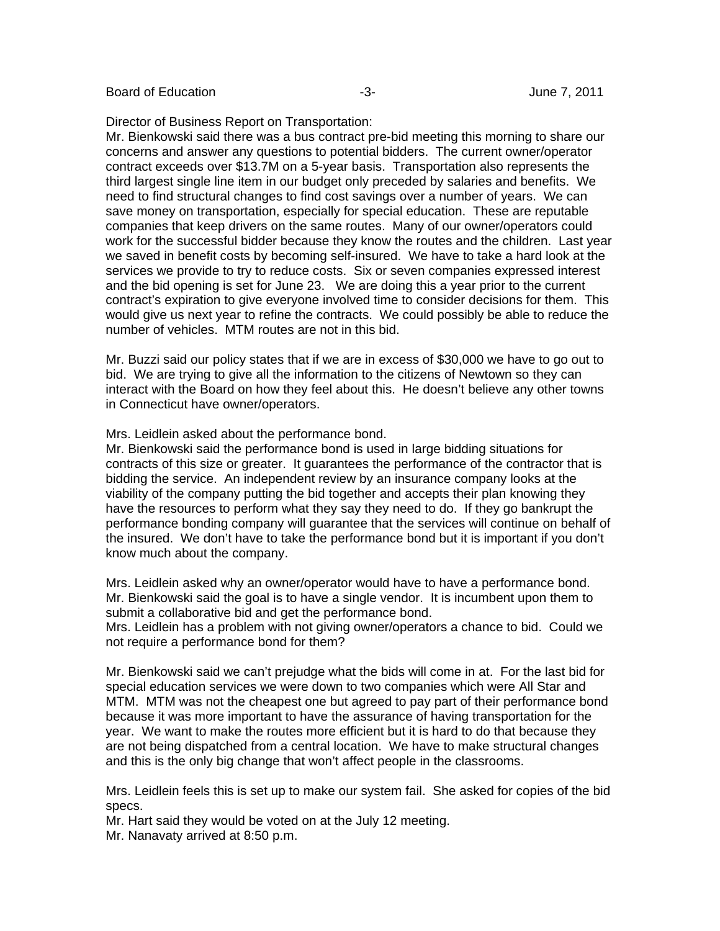Board of Education **-2-** Figure 1.2011 **-3-** Figure 1.2011

Director of Business Report on Transportation:

Mr. Bienkowski said there was a bus contract pre-bid meeting this morning to share our concerns and answer any questions to potential bidders. The current owner/operator contract exceeds over \$13.7M on a 5-year basis. Transportation also represents the third largest single line item in our budget only preceded by salaries and benefits. We need to find structural changes to find cost savings over a number of years. We can save money on transportation, especially for special education. These are reputable companies that keep drivers on the same routes. Many of our owner/operators could work for the successful bidder because they know the routes and the children. Last year we saved in benefit costs by becoming self-insured. We have to take a hard look at the services we provide to try to reduce costs. Six or seven companies expressed interest and the bid opening is set for June 23. We are doing this a year prior to the current contract's expiration to give everyone involved time to consider decisions for them. This would give us next year to refine the contracts. We could possibly be able to reduce the number of vehicles. MTM routes are not in this bid.

Mr. Buzzi said our policy states that if we are in excess of \$30,000 we have to go out to bid. We are trying to give all the information to the citizens of Newtown so they can interact with the Board on how they feel about this. He doesn't believe any other towns in Connecticut have owner/operators.

Mrs. Leidlein asked about the performance bond.

Mr. Bienkowski said the performance bond is used in large bidding situations for contracts of this size or greater. It guarantees the performance of the contractor that is bidding the service. An independent review by an insurance company looks at the viability of the company putting the bid together and accepts their plan knowing they have the resources to perform what they say they need to do. If they go bankrupt the performance bonding company will guarantee that the services will continue on behalf of the insured. We don't have to take the performance bond but it is important if you don't know much about the company.

Mrs. Leidlein asked why an owner/operator would have to have a performance bond. Mr. Bienkowski said the goal is to have a single vendor. It is incumbent upon them to submit a collaborative bid and get the performance bond.

Mrs. Leidlein has a problem with not giving owner/operators a chance to bid. Could we not require a performance bond for them?

Mr. Bienkowski said we can't prejudge what the bids will come in at. For the last bid for special education services we were down to two companies which were All Star and MTM. MTM was not the cheapest one but agreed to pay part of their performance bond because it was more important to have the assurance of having transportation for the year. We want to make the routes more efficient but it is hard to do that because they are not being dispatched from a central location. We have to make structural changes and this is the only big change that won't affect people in the classrooms.

Mrs. Leidlein feels this is set up to make our system fail. She asked for copies of the bid specs.

Mr. Hart said they would be voted on at the July 12 meeting. Mr. Nanavaty arrived at 8:50 p.m.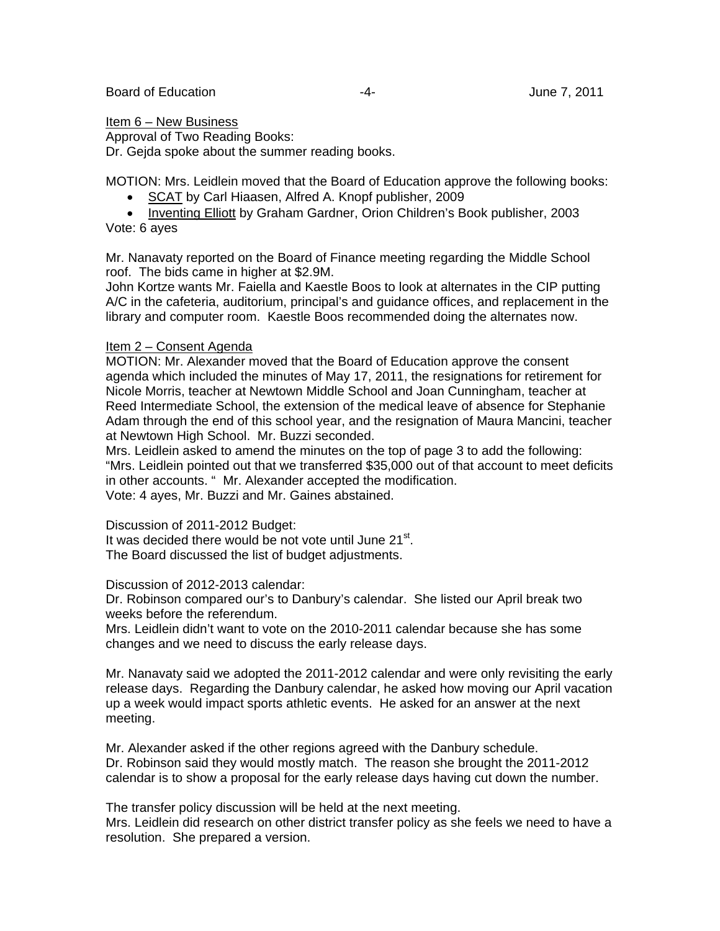### Item 6 – New Business

Approval of Two Reading Books:

Dr. Gejda spoke about the summer reading books.

MOTION: Mrs. Leidlein moved that the Board of Education approve the following books:

- SCAT by Carl Hiaasen, Alfred A. Knopf publisher, 2009
- Inventing Elliott by Graham Gardner, Orion Children's Book publisher, 2003 Vote: 6 ayes

Mr. Nanavaty reported on the Board of Finance meeting regarding the Middle School roof. The bids came in higher at \$2.9M.

John Kortze wants Mr. Faiella and Kaestle Boos to look at alternates in the CIP putting A/C in the cafeteria, auditorium, principal's and guidance offices, and replacement in the library and computer room. Kaestle Boos recommended doing the alternates now.

## Item 2 – Consent Agenda

MOTION: Mr. Alexander moved that the Board of Education approve the consent agenda which included the minutes of May 17, 2011, the resignations for retirement for Nicole Morris, teacher at Newtown Middle School and Joan Cunningham, teacher at Reed Intermediate School, the extension of the medical leave of absence for Stephanie Adam through the end of this school year, and the resignation of Maura Mancini, teacher at Newtown High School. Mr. Buzzi seconded.

Mrs. Leidlein asked to amend the minutes on the top of page 3 to add the following: "Mrs. Leidlein pointed out that we transferred \$35,000 out of that account to meet deficits in other accounts. " Mr. Alexander accepted the modification. Vote: 4 ayes, Mr. Buzzi and Mr. Gaines abstained.

Discussion of 2011-2012 Budget:

It was decided there would be not vote until June  $21<sup>st</sup>$ . The Board discussed the list of budget adjustments.

Discussion of 2012-2013 calendar:

Dr. Robinson compared our's to Danbury's calendar. She listed our April break two weeks before the referendum.

Mrs. Leidlein didn't want to vote on the 2010-2011 calendar because she has some changes and we need to discuss the early release days.

Mr. Nanavaty said we adopted the 2011-2012 calendar and were only revisiting the early release days. Regarding the Danbury calendar, he asked how moving our April vacation up a week would impact sports athletic events. He asked for an answer at the next meeting.

Mr. Alexander asked if the other regions agreed with the Danbury schedule. Dr. Robinson said they would mostly match. The reason she brought the 2011-2012 calendar is to show a proposal for the early release days having cut down the number.

The transfer policy discussion will be held at the next meeting.

Mrs. Leidlein did research on other district transfer policy as she feels we need to have a resolution. She prepared a version.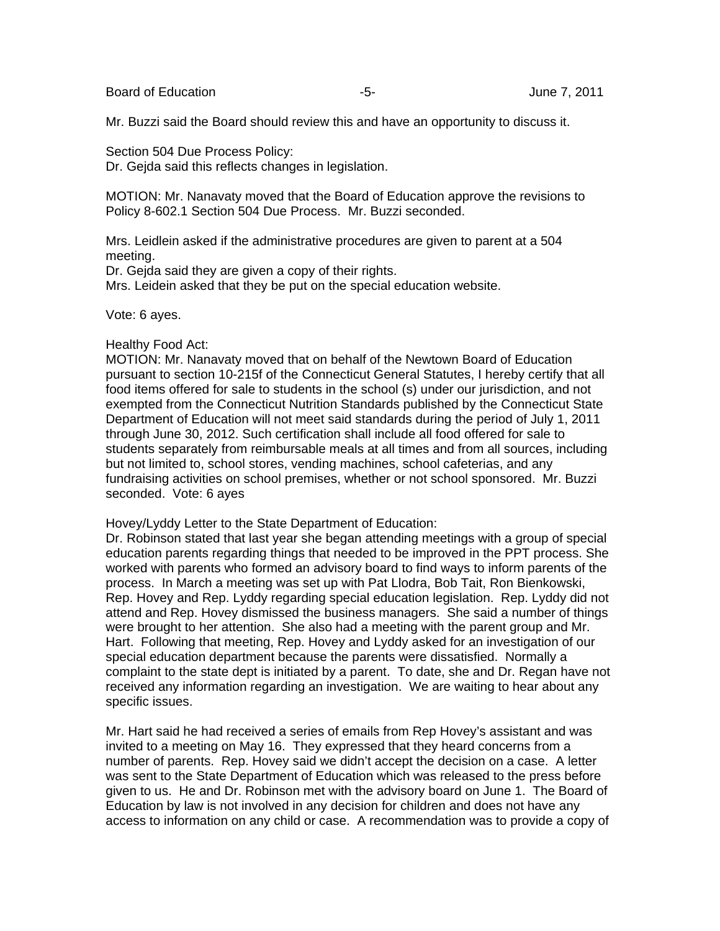Board of Education  $-5$ -  $-5$ - June 7, 2011

Mr. Buzzi said the Board should review this and have an opportunity to discuss it.

Section 504 Due Process Policy:

Dr. Gejda said this reflects changes in legislation.

MOTION: Mr. Nanavaty moved that the Board of Education approve the revisions to Policy 8-602.1 Section 504 Due Process. Mr. Buzzi seconded.

Mrs. Leidlein asked if the administrative procedures are given to parent at a 504 meeting.

Dr. Gejda said they are given a copy of their rights.

Mrs. Leidein asked that they be put on the special education website.

Vote: 6 ayes.

### Healthy Food Act:

MOTION: Mr. Nanavaty moved that on behalf of the Newtown Board of Education pursuant to section 10-215f of the Connecticut General Statutes, I hereby certify that all food items offered for sale to students in the school (s) under our jurisdiction, and not exempted from the Connecticut Nutrition Standards published by the Connecticut State Department of Education will not meet said standards during the period of July 1, 2011 through June 30, 2012. Such certification shall include all food offered for sale to students separately from reimbursable meals at all times and from all sources, including but not limited to, school stores, vending machines, school cafeterias, and any fundraising activities on school premises, whether or not school sponsored. Mr. Buzzi seconded. Vote: 6 ayes

Hovey/Lyddy Letter to the State Department of Education:

Dr. Robinson stated that last year she began attending meetings with a group of special education parents regarding things that needed to be improved in the PPT process. She worked with parents who formed an advisory board to find ways to inform parents of the process. In March a meeting was set up with Pat Llodra, Bob Tait, Ron Bienkowski, Rep. Hovey and Rep. Lyddy regarding special education legislation. Rep. Lyddy did not attend and Rep. Hovey dismissed the business managers. She said a number of things were brought to her attention. She also had a meeting with the parent group and Mr. Hart. Following that meeting, Rep. Hovey and Lyddy asked for an investigation of our special education department because the parents were dissatisfied. Normally a complaint to the state dept is initiated by a parent. To date, she and Dr. Regan have not received any information regarding an investigation. We are waiting to hear about any specific issues.

Mr. Hart said he had received a series of emails from Rep Hovey's assistant and was invited to a meeting on May 16. They expressed that they heard concerns from a number of parents. Rep. Hovey said we didn't accept the decision on a case. A letter was sent to the State Department of Education which was released to the press before given to us. He and Dr. Robinson met with the advisory board on June 1. The Board of Education by law is not involved in any decision for children and does not have any access to information on any child or case. A recommendation was to provide a copy of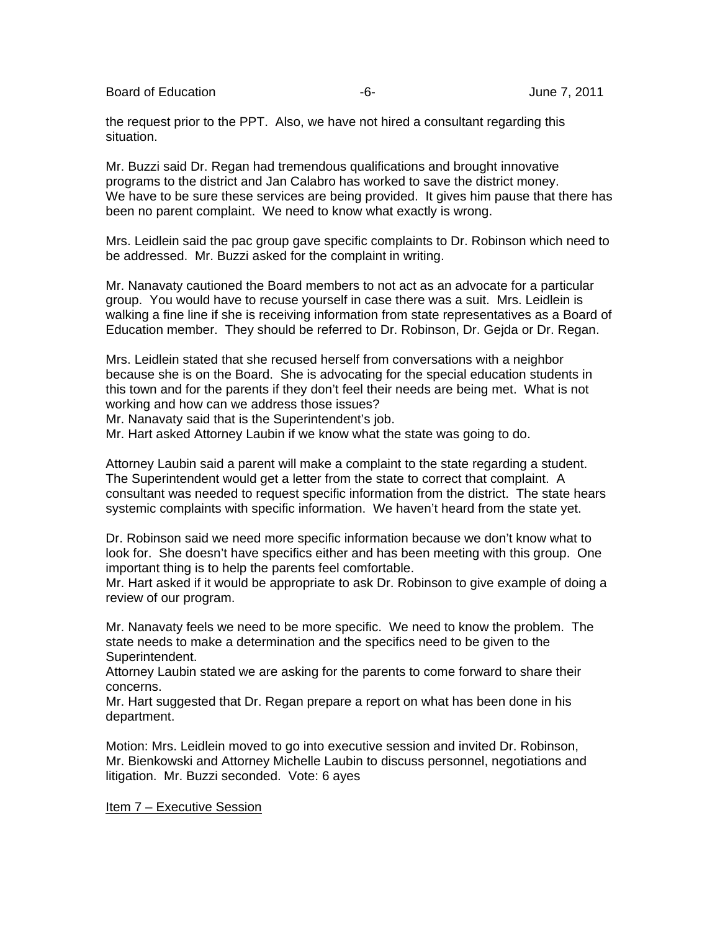Board of Education  $-6$ - Board of Education  $-6$ -

the request prior to the PPT. Also, we have not hired a consultant regarding this situation.

Mr. Buzzi said Dr. Regan had tremendous qualifications and brought innovative programs to the district and Jan Calabro has worked to save the district money. We have to be sure these services are being provided. It gives him pause that there has been no parent complaint. We need to know what exactly is wrong.

Mrs. Leidlein said the pac group gave specific complaints to Dr. Robinson which need to be addressed. Mr. Buzzi asked for the complaint in writing.

Mr. Nanavaty cautioned the Board members to not act as an advocate for a particular group. You would have to recuse yourself in case there was a suit. Mrs. Leidlein is walking a fine line if she is receiving information from state representatives as a Board of Education member. They should be referred to Dr. Robinson, Dr. Gejda or Dr. Regan.

Mrs. Leidlein stated that she recused herself from conversations with a neighbor because she is on the Board. She is advocating for the special education students in this town and for the parents if they don't feel their needs are being met. What is not working and how can we address those issues?

Mr. Nanavaty said that is the Superintendent's job.

Mr. Hart asked Attorney Laubin if we know what the state was going to do.

Attorney Laubin said a parent will make a complaint to the state regarding a student. The Superintendent would get a letter from the state to correct that complaint. A consultant was needed to request specific information from the district. The state hears systemic complaints with specific information. We haven't heard from the state yet.

Dr. Robinson said we need more specific information because we don't know what to look for. She doesn't have specifics either and has been meeting with this group. One important thing is to help the parents feel comfortable.

Mr. Hart asked if it would be appropriate to ask Dr. Robinson to give example of doing a review of our program.

Mr. Nanavaty feels we need to be more specific. We need to know the problem. The state needs to make a determination and the specifics need to be given to the Superintendent.

Attorney Laubin stated we are asking for the parents to come forward to share their concerns.

Mr. Hart suggested that Dr. Regan prepare a report on what has been done in his department.

Motion: Mrs. Leidlein moved to go into executive session and invited Dr. Robinson, Mr. Bienkowski and Attorney Michelle Laubin to discuss personnel, negotiations and litigation. Mr. Buzzi seconded. Vote: 6 ayes

Item 7 - Executive Session